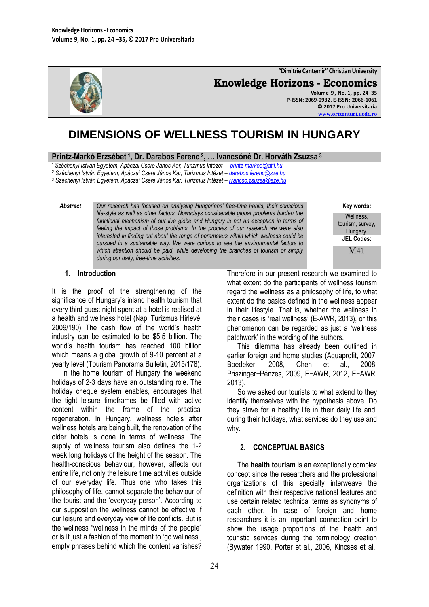

**"Dimitrie Cantemir" Christian University Knowledge Horizons - Economics Volume 9 , No. 1, pp. 24–35 P-ISSN: 2069-0932, E-ISSN: 2066-1061 © 2017 Pro Universitaria [www.orizonturi.ucdc.ro](http://www.orizonturi.ucdc.ro/)**

# **DIMENSIONS OF WELLNESS TOURISM IN HUNGARY**

### **Printz-Markó Erzsébet <sup>1</sup> , Dr. Darabos Ferenc <sup>2</sup> , … Ivancsóné Dr. Horváth Zsuzsa <sup>3</sup>**

<sup>1</sup>*Széchenyi István Egyetem, Apáczai Csere János Kar, Turizmus Intézet – [printz-markoe@atif.hu](mailto:printz-markoe@atif.hu)*

<sup>2</sup> *Széchenyi István Egyetem, Apáczai Csere János Kar, Turizmus Intézet – [darabos.ferenc@sze.hu](mailto:darabos.ferenc@sze.hu)*

<sup>3</sup> *Széchenyi István Egyetem, Apáczai Csere János Kar, Turizmus Intézet – [ivancso.zsuzsa@sze.hu](mailto:ivancso.zsuzsa@sze.hu)*

*Abstract Our research has focused on analysing Hungarians' free-time habits, their conscious life-style as well as other factors. Nowadays considerable global problems burden the functional mechanism of our live globe and Hungary is not an exception in terms of feeling the impact of those problems. In the process of our research we were also interested in finding out about the range of parameters within which wellness could be pursued in a sustainable way. We were curious to see the environmental factors to which attention should be paid, while developing the branches of tourism or simply during our daily, free-time activities.*

**Key words:** Wellness, tourism, survey, Hungary. **JEL Codes:** M41

### **1. Introduction**

It is the proof of the strengthening of the significance of Hungary's inland health tourism that every third guest night spent at a hotel is realised at a health and wellness hotel (Napi Turizmus Hírlevél 2009/190) The cash flow of the world"s health industry can be estimated to be \$5.5 billion. The world"s health tourism has reached 100 billion which means a global growth of 9-10 percent at a yearly level (Tourism Panorama Bulletin, 2015/178).

In the home tourism of Hungary the weekend holidays of 2-3 days have an outstanding role. The holiday cheque system enables, encourages that the tight leisure timeframes be filled with active content within the frame of the practical regeneration. In Hungary, wellness hotels after wellness hotels are being built, the renovation of the older hotels is done in terms of wellness. The supply of wellness tourism also defines the 1-2 week long holidays of the height of the season. The health-conscious behaviour, however, affects our entire life, not only the leisure time activities outside of our everyday life. Thus one who takes this philosophy of life, cannot separate the behaviour of the tourist and the "everyday person". According to our supposition the wellness cannot be effective if our leisure and everyday view of life conflicts. But is the wellness "wellness in the minds of the people" or is it just a fashion of the moment to "go wellness", empty phrases behind which the content vanishes?

Therefore in our present research we examined to what extent do the participants of wellness tourism regard the wellness as a philosophy of life, to what extent do the basics defined in the wellness appear in their lifestyle. That is, whether the wellness in their cases is "real wellness" (E-AWR, 2013), or this phenomenon can be regarded as just a "wellness patchwork" in the wording of the authors.

This dilemma has already been outlined in earlier foreign and home studies (Aquaprofit, 2007, Boedeker, 2008, Chen et al., 2008, Priszinger−Pénzes, 2009, E−AWR, 2012, E−AWR, 2013).

So we asked our tourists to what extend to they identify themselves with the hypothesis above. Do they strive for a healthy life in their daily life and, during their holidays, what services do they use and why.

### **2. CONCEPTUAL BASICS**

The **health tourism** is an exceptionally complex concept since the researchers and the professional organizations of this specialty interweave the definition with their respective national features and use certain related technical terms as synonyms of each other. In case of foreign and home researchers it is an important connection point to show the usage proportions of the health and touristic services during the terminology creation (Bywater 1990, Porter et al., 2006, Kincses et al.,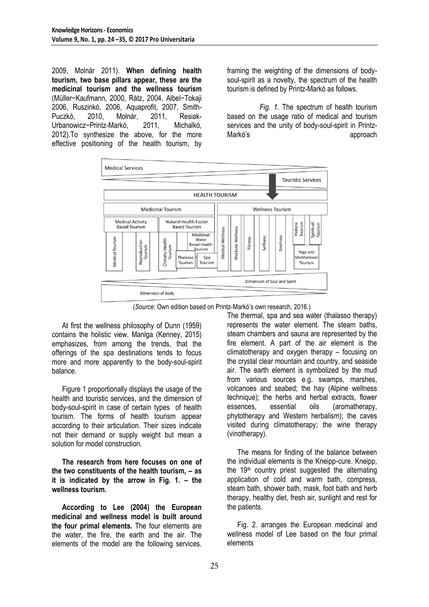2009, Molnár 2011). **When defining health tourism, two base pillars appear, these are the medicinal tourism and the wellness tourism** (Müller−Kaufmann, 2000, Rátz, 2004, Albel−Tokaji 2006, Ruszinkó, 2006, Aquaprofit, 2007, Smith-Puczkó, 2010, Molnár, 2011, Resiak-Urbanowicz−Printz-Markó, 2011, Michalkó, 2012).To synthesize the above, for the more effective positioning of the health tourism, by

framing the weighting of the dimensions of bodysoul-spirit as a novelty, the spectrum of the health tourism is defined by Printz-Markó as follows.

*Fig. 1.* The spectrum of health tourism based on the usage ratio of medical and tourism services and the unity of body-soul-spirit in Printz-Markó's approach



(*Source*: Own edition based on Printz-Markó"s own research, 2016.)

At first the wellness philosophy of Dunn (1959) contains the holistic view. Manlga (Kenney, 2015) emphasizes, from among the trends, that the offerings of the spa destinations tends to focus more and more apparently to the body-soul-spirit balance.

Figure 1 proportionally displays the usage of the health and touristic services, and the dimension of body-soul-spirit in case of certain types of health tourism. The forms of health tourism appear according to their articulation. Their sizes indicate not their demand or supply weight but mean a solution for model construction.

**The research from here focuses on one of the two constituents of the health tourism, – as it is indicated by the arrow in Fig. 1. – the wellness tourism.**

**According to Lee (2004) the European medicinal and wellness model is built around the four primal elements.** The four elements are the water, the fire, the earth and the air. The elements of the model are the following services.

The thermal, spa and sea water (thalasso therapy) represents the water element. The steam baths, steam chambers and sauna are represented by the fire element. A part of the air element is the climatotherapy and oxygen therapy – focusing on the crystal clear mountain and country, and seaside air. The earth element is symbolized by the mud from various sources e.g. swamps, marshes, volcanoes and seabed; the hay (Alpine wellness technique); the herbs and herbal extracts, flower essences, essential oils (aromatherapy, phytotherapy and Western herbalism); the caves visited during climatotherapy; the wine therapy (vinotherapy).

The means for finding of the balance between the individual elements is the Kneipp-cure. Kneipp, the  $19<sup>th</sup>$  country priest suggested the alternating application of cold and warm bath, compress, steam bath, shower bath, mask, foot bath and herb therapy, healthy diet, fresh air, sunlight and rest for the patients.

Fig. 2. arranges the European medicinal and wellness model of Lee based on the four primal elements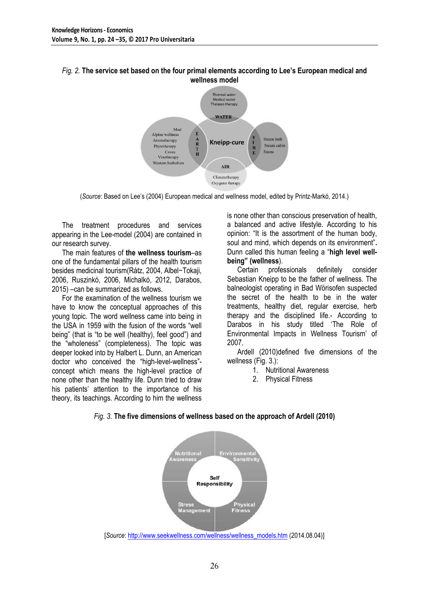### *Fig. 2.* **The service set based on the four primal elements according to Lee's European medical and wellness model**



(*Source*: Based on Lee"s (2004) European medical and wellness model, edited by Printz-Markó, 2014.)

The treatment procedures and services appearing in the Lee-model (2004) are contained in our research survey.

The main features of **the wellness tourism**–as one of the fundamental pillars of the health tourism besides medicinal tourism(Rátz, 2004, Albel−Tokaji, 2006, Ruszinkó, 2006, Michalkó, 2012, Darabos, 2015) –can be summarized as follows.

For the examination of the wellness tourism we have to know the conceptual approaches of this young topic. The word wellness came into being in the USA in 1959 with the fusion of the words "well being" (that is "to be well (healthy), feel good") and the "wholeness" (completeness). The topic was deeper looked into by Halbert L. Dunn, an American doctor who conceived the "high-level-wellness" concept which means the high-level practice of none other than the healthy life. Dunn tried to draw his patients' attention to the importance of his theory, its teachings. According to him the wellness

is none other than conscious preservation of health, a balanced and active lifestyle. According to his opinion: "It is the assortment of the human body, soul and mind, which depends on its environment"**.** Dunn called this human feeling a "**high level wellbeing" (wellness**).

Certain professionals definitely consider Sebastian Kneipp to be the father of wellness. The balneologist operating in Bad Wörisofen suspected the secret of the health to be in the water treatments, healthy diet, regular exercise, herb therapy and the disciplined life.- According to Darabos in his study titled "The Role of Environmental Impacts in Wellness Tourism" of 2007.

Ardell (2010)defined five dimensions of the wellness (Fig. 3.):

- 1. Nutritional Awareness
- 2. Physical Fitness



*Fig. 3.* **The five dimensions of wellness based on the approach of Ardell (2010)**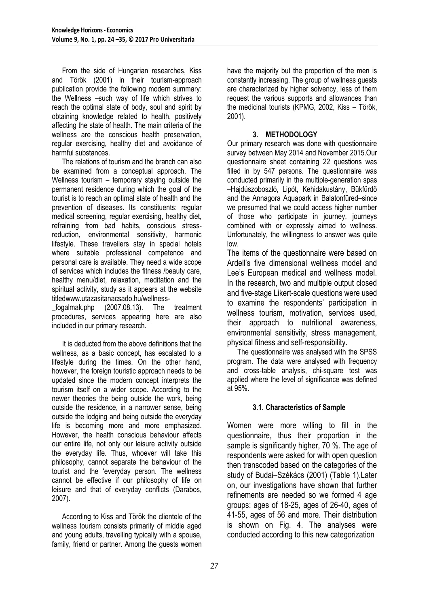From the side of Hungarian researches, Kiss and Török (2001) in their tourism-approach publication provide the following modern summary: the Wellness –such way of life which strives to reach the optimal state of body, soul and spirit by obtaining knowledge related to health, positively affecting the state of health. The main criteria of the wellness are the conscious health preservation, regular exercising, healthy diet and avoidance of harmful substances.

The relations of tourism and the branch can also be examined from a conceptual approach. The Wellness tourism – temporary staying outside the permanent residence during which the goal of the tourist is to reach an optimal state of health and the prevention of diseases. Its constituents: regular medical screening, regular exercising, healthy diet, refraining from bad habits, conscious stressreduction, environmental sensitivity, harmonic lifestyle. These travellers stay in special hotels where suitable professional competence and personal care is available. They need a wide scope of services which includes the fitness /beauty care, healthy menu/diet, relaxation, meditation and the spiritual activity, study as it appears at the website title[dwww.utazasitanacsado.hu/wellness-](http://www.utazasitanacsado.hu/wellness_fogalmak.php)

[\\_fogalmak.php](http://www.utazasitanacsado.hu/wellness_fogalmak.php) (2007.08.13). The treatment procedures, services appearing here are also included in our primary research.

It is deducted from the above definitions that the wellness, as a basic concept, has escalated to a lifestyle during the times. On the other hand, however, the foreign touristic approach needs to be updated since the modern concept interprets the tourism itself on a wider scope. According to the newer theories the being outside the work, being outside the residence, in a narrower sense, being outside the lodging and being outside the everyday life is becoming more and more emphasized. However, the health conscious behaviour affects our entire life, not only our leisure activity outside the everyday life. Thus, whoever will take this philosophy, cannot separate the behaviour of the tourist and the "everyday person. The wellness cannot be effective if our philosophy of life on leisure and that of everyday conflicts (Darabos, 2007).

According to Kiss and Török the clientele of the wellness tourism consists primarily of middle aged and young adults, travelling typically with a spouse, family, friend or partner. Among the guests women

have the majority but the proportion of the men is constantly increasing. The group of wellness guests are characterized by higher solvency, less of them request the various supports and allowances than the medicinal tourists (KPMG, 2002, Kiss – Török, 2001).

# **3. METHODOLOGY**

Our primary research was done with questionnaire survey between May 2014 and November 2015.Our questionnaire sheet containing 22 questions was filled in by 547 persons. The questionnaire was conducted primarily in the multiple-generation spas –Hajdúszoboszló, Lipót, Kehidakustány, Bükfürdő and the Annagora Aquapark in Balatonfüred–since we presumed that we could access higher number of those who participate in journey, journeys combined with or expressly aimed to wellness. Unfortunately, the willingness to answer was quite low.

The items of the questionnaire were based on Ardell"s five dimensional wellness model and Lee's European medical and wellness model. In the research, two and multiple output closed and five-stage Likert-scale questions were used to examine the respondents' participation in wellness tourism, motivation, services used, their approach to nutritional awareness, environmental sensitivity, stress management, physical fitness and self-responsibility.

The questionnaire was analysed with the SPSS program. The data were analysed with frequency and cross-table analysis, chi-square test was applied where the level of significance was defined at 95%.

### **3.1. Characteristics of Sample**

Women were more willing to fill in the questionnaire, thus their proportion in the sample is significantly higher, 70 %. The age of respondents were asked for with open question then transcoded based on the categories of the study of Budai–Székács (2001) (Table 1).Later on, our investigations have shown that further refinements are needed so we formed 4 age groups: ages of 18-25, ages of 26-40, ages of 41-55, ages of 56 and more. Their distribution is shown on Fig. 4. The analyses were conducted according to this new categorization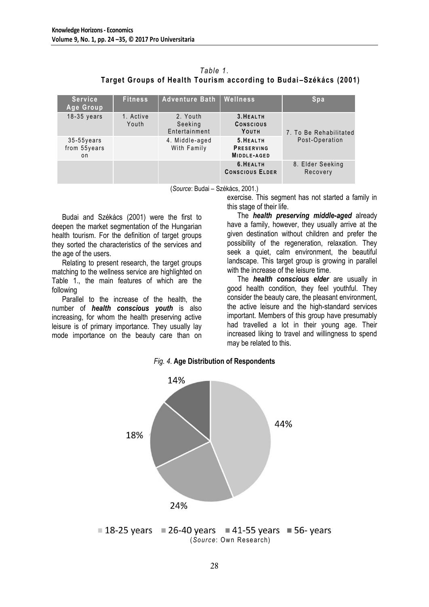|                                                                   | Table 1. |  |  |
|-------------------------------------------------------------------|----------|--|--|
| Target Groups of Health Tourism according to Budai-Székács (2001) |          |  |  |
|                                                                   |          |  |  |

| <b>Service</b><br>Age Group          | <b>Fitness</b>     | Adventure Bath   Wellness            |                                        | Spa                                      |
|--------------------------------------|--------------------|--------------------------------------|----------------------------------------|------------------------------------------|
| $18-35$ years                        | 1. Active<br>Youth | 2. Youth<br>Seeking<br>Entertainment | 3. HEALTH<br><b>CONSCIOUS</b><br>YOUTH | 7. To Be Rehabilitated<br>Post-Operation |
| $35-55$ years<br>from 55years<br>o n |                    | 4. Middle-aged<br>With Family        | 5. HEALTH<br>PRESERVING<br>MIDDLE-AGED |                                          |
|                                      |                    |                                      | 6. HEALTH<br><b>CONSCIOUS ELDER</b>    | 8. Elder Seeking<br>Recovery             |

(*Source*: Budai – Székács, 2001.)

Budai and Székács (2001) were the first to deepen the market segmentation of the Hungarian health tourism. For the definition of target groups they sorted the characteristics of the services and the age of the users.

Relating to present research, the target groups matching to the wellness service are highlighted on Table 1., the main features of which are the following

Parallel to the increase of the health, the number of *health conscious youth* is also increasing, for whom the health preserving active leisure is of primary importance. They usually lay mode importance on the beauty care than on exercise. This segment has not started a family in this stage of their life.

The *health preserving middle-aged* already have a family, however, they usually arrive at the given destination without children and prefer the possibility of the regeneration, relaxation. They seek a quiet, calm environment, the beautiful landscape. This target group is growing in parallel with the increase of the leisure time.

The *health conscious elder* are usually in good health condition, they feel youthful. They consider the beauty care, the pleasant environment, the active leisure and the high-standard services important. Members of this group have presumably had travelled a lot in their young age. Their increased liking to travel and willingness to spend may be related to this.



*Fig. 4*. **Age Distribution of Respondents**

 $18-25$  years  $26-40$  years  $41-55$  years 56- years (*Source*: Own Research)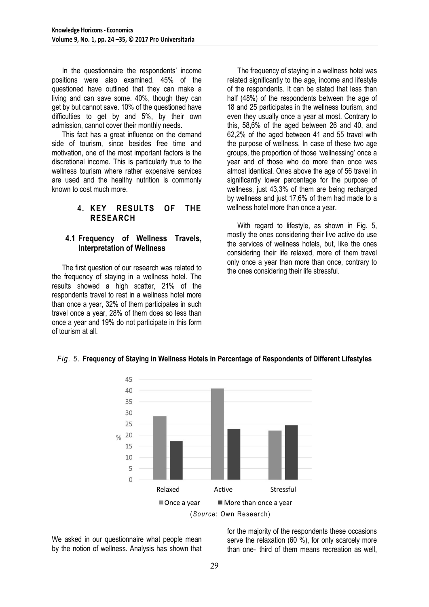In the questionnaire the respondents' income positions were also examined. 45% of the questioned have outlined that they can make a living and can save some. 40%, though they can get by but cannot save. 10% of the questioned have difficulties to get by and 5%, by their own admission, cannot cover their monthly needs.

This fact has a great influence on the demand side of tourism, since besides free time and motivation, one of the most important factors is the discretional income. This is particularly true to the wellness tourism where rather expensive services are used and the healthy nutrition is commonly known to cost much more.

# **4. KEY RESULTS OF THE RESEARCH**

# **4.1 Frequency of Wellness Travels, Interpretation of Wellness**

The first question of our research was related to the frequency of staying in a wellness hotel. The results showed a high scatter, 21% of the respondents travel to rest in a wellness hotel more than once a year, 32% of them participates in such travel once a year, 28% of them does so less than once a year and 19% do not participate in this form of tourism at all.

The frequency of staying in a wellness hotel was related significantly to the age, income and lifestyle of the respondents. It can be stated that less than half (48%) of the respondents between the age of 18 and 25 participates in the wellness tourism, and even they usually once a year at most. Contrary to this, 58,6% of the aged between 26 and 40, and 62,2% of the aged between 41 and 55 travel with the purpose of wellness. In case of these two age groups, the proportion of those "wellnessing" once a year and of those who do more than once was almost identical. Ones above the age of 56 travel in significantly lower percentage for the purpose of wellness, just 43,3% of them are being recharged by wellness and just 17,6% of them had made to a wellness hotel more than once a year.

With regard to lifestyle, as shown in Fig. 5. mostly the ones considering their live active do use the services of wellness hotels, but, like the ones considering their life relaxed, more of them travel only once a year than more than once, contrary to the ones considering their life stressful.



### *Fig. 5*. **Frequency of Staying in Wellness Hotels in Percentage of Respondents of Different Lifestyles**

We asked in our questionnaire what people mean by the notion of wellness. Analysis has shown that for the majority of the respondents these occasions serve the relaxation (60 %), for only scarcely more than one- third of them means recreation as well,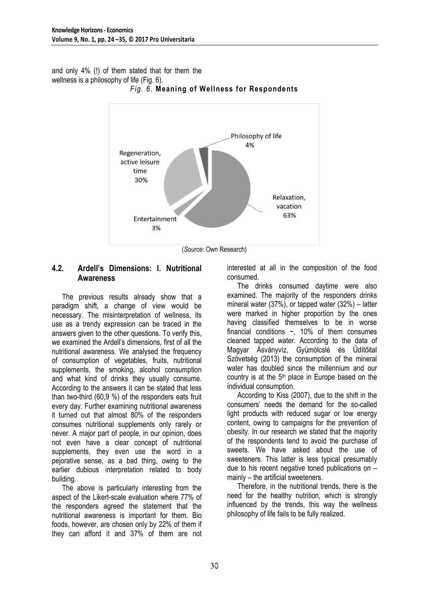and only 4% (!) of them stated that for them the wellness is a philosophy of life (Fig. 6).



# *Fig. 6*. **Meaning of Wellness for Respondents**

(*Source*: Own Research)

# **4.2. Ardell's Dimensions: I. Nutritional Awareness**

The previous results already show that a paradigm shift, a change of view would be necessary. The misinterpretation of wellness, its use as a trendy expression can be traced in the answers given to the other questions. To verify this, we examined the Ardell"s dimensions, first of all the nutritional awareness. We analysed the frequency of consumption of vegetables, fruits, nutritional supplements, the smoking, alcohol consumption and what kind of drinks they usually consume. According to the answers it can be stated that less than two-third (60,9 %) of the responders eats fruit every day. Further examining nutritional awareness it turned out that almost 80% of the responders consumes nutritional supplements only rarely or never. A major part of people, in our opinion, does not even have a clear concept of nutritional supplements, they even use the word in a pejorative sense, as a bad thing, owing to the earlier dubious interpretation related to body building.

The above is particularly interesting from the aspect of the Likert-scale evaluation where 77% of the responders agreed the statement that the nutritional awareness is important for them. Bio foods, however, are chosen only by 22% of them if they can afford it and 37% of them are not interested at all in the composition of the food consumed.

The drinks consumed daytime were also examined. The majority of the responders drinks mineral water (37%), or tapped water (32%) – latter were marked in higher proportion by the ones having classified themselves to be in worse financial conditions −, 10% of them consumes cleaned tapped water. According to the data of Magyar Ásványvíz, Gyümölcslé és Üdítőital Szövetség (2013) the consumption of the mineral water has doubled since the millennium and our country is at the  $5<sup>th</sup>$  place in Europe based on the individual consumption.

According to Kiss (2007), due to the shift in the consumers" needs the demand for the so-called light products with reduced sugar or low energy content, owing to campaigns for the prevention of obesity. In our research we stated that the majority of the respondents tend to avoid the purchase of sweets. We have asked about the use of sweeteners. This latter is less typical presumably due to his recent negative toned publications on – mainly – the artificial sweeteners.

Therefore, in the nutritional trends, there is the need for the healthy nutrition, which is strongly influenced by the trends, this way the wellness philosophy of life fails to be fully realized.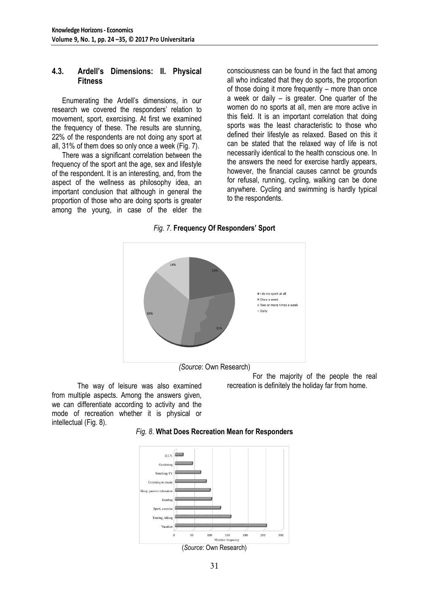### **4.3. Ardell's Dimensions: II. Physical Fitness**

Enumerating the Ardell"s dimensions, in our research we covered the responders' relation to movement, sport, exercising. At first we examined the frequency of these. The results are stunning, 22% of the respondents are not doing any sport at all, 31% of them does so only once a week (Fig. 7).

There was a significant correlation between the frequency of the sport ant the age, sex and lifestyle of the respondent. It is an interesting, and, from the aspect of the wellness as philosophy idea, an important conclusion that although in general the proportion of those who are doing sports is greater among the young, in case of the elder the

consciousness can be found in the fact that among all who indicated that they do sports, the proportion of those doing it more frequently – more than once a week or daily – is greater. One quarter of the women do no sports at all, men are more active in this field. It is an important correlation that doing sports was the least characteristic to those who defined their lifestyle as relaxed. Based on this it can be stated that the relaxed way of life is not necessarily identical to the health conscious one. In the answers the need for exercise hardly appears, however, the financial causes cannot be grounds for refusal, running, cycling, walking can be done anywhere. Cycling and swimming is hardly typical to the respondents.

### *Fig. 7*. **Frequency Of Responders' Sport**



The way of leisure was also examined from multiple aspects. Among the answers given, we can differentiate according to activity and the mode of recreation whether it is physical or intellectual (Fig. 8).

For the majority of the people the real recreation is definitely the holiday far from home.



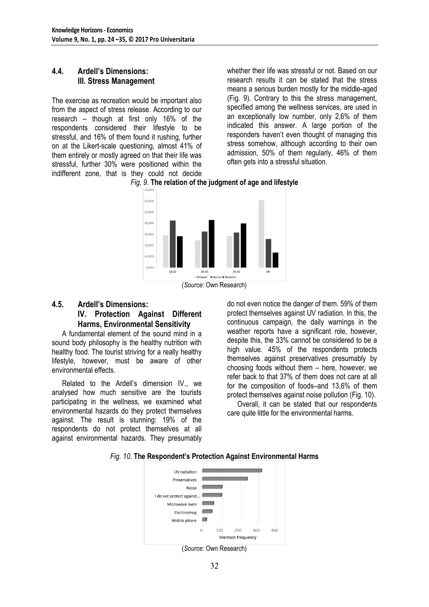# **4.4. Ardell's Dimensions: III. Stress Management**

The exercise as recreation would be important also from the aspect of stress release. According to our research – though at first only 16% of the respondents considered their lifestyle to be stressful, and 16% of them found it rushing, further on at the Likert-scale questioning, almost 41% of them entirely or mostly agreed on that their life was stressful, further 30% were positioned within the indifferent zone, that is they could not decide whether their life was stressful or not. Based on our research results it can be stated that the stress means a serious burden mostly for the middle-aged (Fig. 9). Contrary to this the stress management, specified among the wellness services, are used in an exceptionally low number, only 2,6% of them indicated this answer. A large portion of the responders haven"t even thought of managing this stress somehow, although according to their own admission, 50% of them regularly, 46% of them often gets into a stressful situation.





<sup>(</sup>*Source*: Own Research)

# **4.5. Ardell's Dimensions: IV. Protection Against Different Harms, Environmental Sensitivity**

A fundamental element of the sound mind in a sound body philosophy is the healthy nutrition with healthy food. The tourist striving for a really healthy lifestyle, however, must be aware of other environmental effects.

Related to the Ardell"s dimension IV., we analysed how much sensitive are the tourists participating in the wellness, we examined what environmental hazards do they protect themselves against. The result is stunning: 19% of the respondents do not protect themselves at all against environmental hazards. They presumably

do not even notice the danger of them. 59% of them protect themselves against UV radiation. In this, the continuous campaign, the daily warnings in the weather reports have a significant role, however, despite this, the 33% cannot be considered to be a high value. 45% of the respondents protects themselves against preservatives presumably by choosing foods without them – here, however, we refer back to that 37% of them does not care at all for the composition of foods–and 13,6% of them protect themselves against noise pollution (Fig. 10).

Overall, it can be stated that our respondents care quite little for the environmental harms.



### *Fig. 10*. **The Respondent's Protection Against Environmental Harms**

<sup>(</sup>*Source*: Own Research)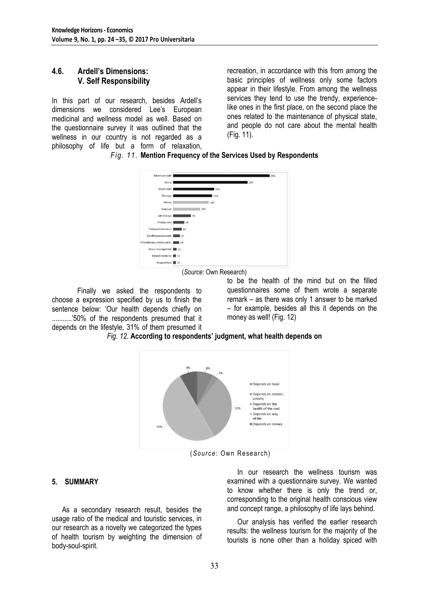### **4.6. Ardell's Dimensions: V. Self Responsibility**

In this part of our research, besides Ardell"s dimensions we considered Lee"s European medicinal and wellness model as well. Based on the questionnaire survey it was outlined that the wellness in our country is not regarded as a philosophy of life but a form of relaxation, recreation, in accordance with this from among the basic principles of wellness only some factors appear in their lifestyle. From among the wellness services they tend to use the trendy, experiencelike ones in the first place, on the second place the ones related to the maintenance of physical state, and people do not care about the mental health (Fig. 11).

*Fig. 11*. **Mention Frequency of the Services Used by Respondents**

| Adventure bath               |      | 381 |
|------------------------------|------|-----|
| Sauna                        | 294  |     |
| Steam bath                   | 162  |     |
| Massage                      | 154  |     |
| Fitness                      | 140  |     |
| Solarium                     | 107  |     |
| Salt therapy                 | 70   |     |
| Kneipp-cure                  | 44   |     |
| Therapy treatments           | 34   |     |
| Conditionassessment          | 27   |     |
| Phisiotherapy, motion exerc. | 124  |     |
| Stress management            | 图 14 |     |
| Natural medicine 11          |      |     |
| Acupuncture                  | 11   |     |

(*Source*: Own Research)

Finally we asked the respondents to choose a expression specified by us to finish the sentence below: "Our health depends chiefly on ............'50% of the respondents presumed that it depends on the lifestyle, 31% of them presumed it to be the health of the mind but on the filled questionnaires some of them wrote a separate remark – as there was only 1 answer to be marked – for example, besides all this it depends on the money as well! (Fig. 12)

*Fig. 12*. **According to respondents' judgment, what health depends on**



(*Source*: Own Research)

### **5. SUMMARY**

As a secondary research result, besides the usage ratio of the medical and touristic services, in our research as a novelty we categorized the types of health tourism by weighting the dimension of body-soul-spirit.

In our research the wellness tourism was examined with a questionnaire survey. We wanted to know whether there is only the trend or, corresponding to the original health conscious view and concept range, a philosophy of life lays behind.

Our analysis has verified the earlier research results: the wellness tourism for the majority of the tourists is none other than a holiday spiced with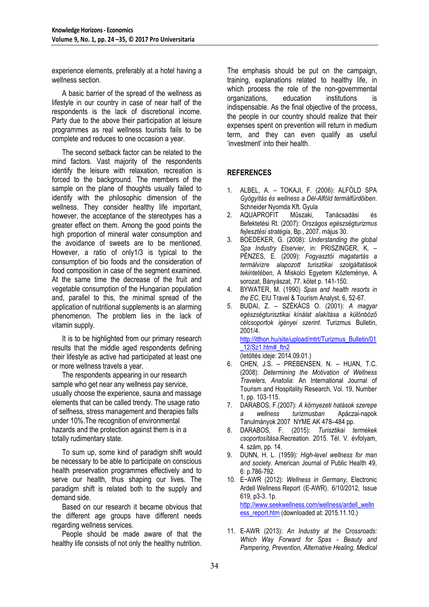experience elements, preferably at a hotel having a wellness section.

A basic barrier of the spread of the wellness as lifestyle in our country in case of near half of the respondents is the lack of discretional income. Party due to the above their participation at leisure programmes as real wellness tourists fails to be complete and reduces to one occasion a year.

The second setback factor can be related to the mind factors. Vast majority of the respondents identify the leisure with relaxation, recreation is forced to the background. The members of the sample on the plane of thoughts usually failed to identify with the philosophic dimension of the wellness. They consider healthy life important, however, the acceptance of the stereotypes has a greater effect on them. Among the good points the high proportion of mineral water consumption and the avoidance of sweets are to be mentioned. However, a ratio of only1/3 is typical to the consumption of bio foods and the consideration of food composition in case of the segment examined. At the same time the decrease of the fruit and vegetable consumption of the Hungarian population and, parallel to this, the minimal spread of the application of nutritional supplements is an alarming phenomenon. The problem lies in the lack of vitamin supply.

It is to be highlighted from our primary research results that the middle aged respondents defining their lifestyle as active had participated at least one or more wellness travels a year.

The respondents appearing in our research sample who get near any wellness pay service, usually choose the experience, sauna and massage elements that can be called trendy. The usage ratio of selfness, stress management and therapies falls under 10%.The recognition of environmental hazards and the protection against them is in a totally rudimentary state.

To sum up, some kind of paradigm shift would be necessary to be able to participate on conscious health preservation programmes effectively and to serve our health, thus shaping our lives. The paradigm shift is related both to the supply and demand side.

Based on our research it became obvious that the different age groups have different needs regarding wellness services.

People should be made aware of that the healthy life consists of not only the healthy nutrition.

The emphasis should be put on the campaign, training, explanations related to healthy life, in which process the role of the non-governmental organizations, education institutions is indispensable. As the final objective of the process, the people in our country should realize that their expenses spent on prevention will return in medium term, and they can even qualify as useful "investment" into their health.

# **REFERENCES**

- 1. ALBEL, A. TOKAJI, F. (2006): ALFÖLD SPA *Gyógyítás és wellness a Dél-Alföld termálfürdőiben*. Schneider Nyomda Kft. Gyula
- 2. AQUAPROFIT Műszaki, Tanácsadási és Befektetési Rt. (2007): *Országos egészségturizmus fejlesztési stratégia*, Bp., 2007. május 30.
- 3. BOEDEKER, G. (2008): *Understanding the global Spa Industry Elservier*, in: PRISZINGER, K. – PÉNZES, E. (2009): *Fogyasztói magatartás a termálvízre alapozott turisztikai szolgáltatások tekintetében*, A Miskolci Egyetem Közleménye, A sorozat, Bányászat, 77. kötet p. 141-150.
- 4. BYWATER, M. (1990) *Spas and health resorts in the EC*, EIU Travel & Tourism Analyst, 6, 52-67.
- 5. BUDAI, Z. SZÉKÁCS O. (2001): *A magyar egészségturisztikai kínálat alakítása a különböző célcsoportok igényei szerint*. Turizmus Bulletin, 2001/4. [http://itthon.hu/site/upload/mtrt/Turizmus\\_Bulletin/01](http://itthon.hu/site/upload/mtrt/Turizmus_Bulletin/01_12/Sz1.htm#_ftn2) [\\_12/Sz1.htm#\\_ftn2](http://itthon.hu/site/upload/mtrt/Turizmus_Bulletin/01_12/Sz1.htm#_ftn2)
- (letöltés ideje: 2014.09.01.) 6. CHEN, J.S. – PREBENSEN, N. – HUAN, T.C. (2008): *Determining the Motivation of Wellness*
- *Travelers, Anatolia*: An International Journal of Tourism and Hospitality Research, Vol. 19, Number 1, pp. 103-115.
- 7. DARABOS, F.(2007): *A környezeti hatások szerepe a wellness turizmusban* Apáczai-napok Tanulmányok 2007 NYME AK 478–484 pp.
- 8. DARABOS, F. (2015): *Turisztikai termékek csoportosítása*.Recreation. 2015. Tél. V. évfolyam, 4. szám, pp. 14.
- 9. DUNN, H. L. (1959): *High-level wellness for man and society*. American Journal of Public Health 49, 6: p.786-792.
- 10. E−AWR (2012): *Wellness in Germany*, [Electronic](javascript:__doLinkPostBack()  Ardell Wellness [Report \(E-AWR\).](javascript:__doLinkPostBack() 6/10/2012, Issue 619, p3-3. 1p. [http://www.seekwellness.com/wellness/ardell\\_welln](http://www.seekwellness.com/wellness/ardell_wellness_report.htm) [ess\\_report.htm](http://www.seekwellness.com/wellness/ardell_wellness_report.htm) (downloaded at: 2015.11.10.)
- 11. E-AWR (2013): *An Industry at the Crossroads: Which Way Forward for Spas - Beauty and Pampering, Prevention, Alternative Healing, Medical*